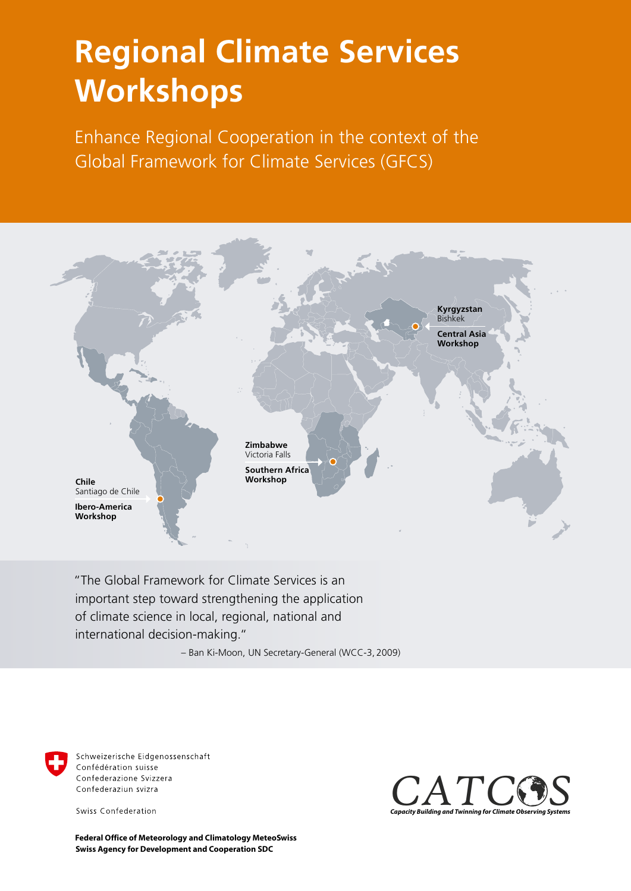## **Regional Climate Services Workshops**

Enhance Regional Cooperation in the context of the Global Framework for Climate Services (GFCS)



 "The Global Framework for Climate Services is an important step toward strengthening the application of climate science in local, regional, national and international decision-making."

– Ban Ki-Moon, UN Secretary-General (WCC-3, 2009)



Schweizerische Eidgenossenschaft Confédération suisse Confederazione Svizzera Confederaziun svizra

Swiss Confederation

*Capacity Building and Twinning for Climate Obs* **Capacity Building and Type Capacity** *Sstems*

**Swiss Agency for Development and Cooperation SDC Federal Office of Meteorology and Climatology MeteoSwiss**